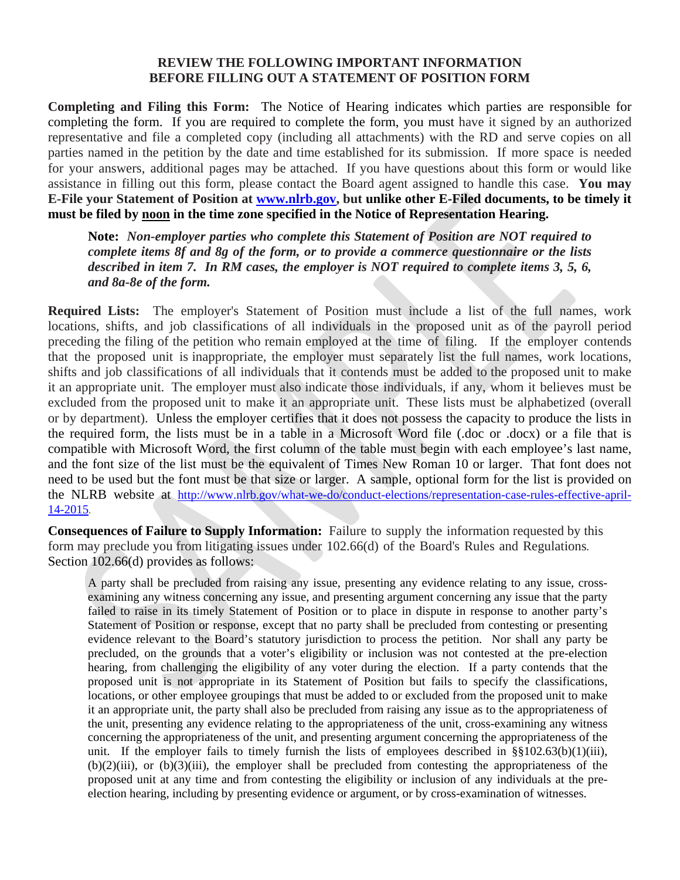## **REVIEW THE FOLLOWING IMPORTANT INFORMATION BEFORE FILLING OUT A STATEMENT OF POSITION FORM**

**Completing and Filing this Form:** The Notice of Hearing indicates which parties are responsible for completing the form. If you are required to complete the form, you must have it signed by an authorized representative and file a completed copy (including all attachments) with the RD and serve copies on all parties named in the petition by the date and time established for its submission. If more space is needed for your answers, additional pages may be attached. If you have questions about this form or would like assistance in filling out this form, please contact the Board agent assigned to handle this case. **You may E-File your Statement of Position at www.nlrb.gov, but unlike other E-Filed documents, to be timely it must be filed by noon in the time zone specified in the Notice of Representation Hearing.** 

**Note:** *Non-employer parties who complete this Statement of Position are NOT required to complete items 8f and 8g of the form, or to provide a commerce questionnaire or the lists described in item 7.**In RM cases, the employer is NOT required to complete items 3, 5, 6, and 8a-8e of the form.* 

**Required Lists:** The employer's Statement of Position must include a list of the full names, work locations, shifts, and job classifications of all individuals in the proposed unit as of the payroll period preceding the filing of the petition who remain employed at the time of filing. If the employer contends that the proposed unit is inappropriate, the employer must separately list the full names, work locations, shifts and job classifications of all individuals that it contends must be added to the proposed unit to make it an appropriate unit. The employer must also indicate those individuals, if any, whom it believes must be excluded from the proposed unit to make it an appropriate unit. These lists must be alphabetized (overall or by department). Unless the employer certifies that it does not possess the capacity to produce the lists in the required form, the lists must be in a table in a Microsoft Word file (.doc or .docx) or a file that is compatible with Microsoft Word, the first column of the table must begin with each employee's last name, and the font size of the list must be the equivalent of Times New Roman 10 or larger. That font does not need to be used but the font must be that size or larger. A sample, optional form for the list is provided on the NLRB website at http://www.nlrb.gov/what-we-do/conduct-elections/representation-case-rules-effective-april-14-2015.

**Consequences of Failure to Supply Information:** Failure to supply the information requested by this form may preclude you from litigating issues under 102.66(d) of the Board's Rules and Regulations. Section 102.66(d) provides as follows:

A party shall be precluded from raising any issue, presenting any evidence relating to any issue, crossexamining any witness concerning any issue, and presenting argument concerning any issue that the party failed to raise in its timely Statement of Position or to place in dispute in response to another party's Statement of Position or response, except that no party shall be precluded from contesting or presenting evidence relevant to the Board's statutory jurisdiction to process the petition. Nor shall any party be precluded, on the grounds that a voter's eligibility or inclusion was not contested at the pre-election hearing, from challenging the eligibility of any voter during the election. If a party contends that the proposed unit is not appropriate in its Statement of Position but fails to specify the classifications, locations, or other employee groupings that must be added to or excluded from the proposed unit to make it an appropriate unit, the party shall also be precluded from raising any issue as to the appropriateness of the unit, presenting any evidence relating to the appropriateness of the unit, cross-examining any witness concerning the appropriateness of the unit, and presenting argument concerning the appropriateness of the unit. If the employer fails to timely furnish the lists of employees described in §§102.63(b)(1)(iii), (b)(2)(iii), or (b)(3)(iii), the employer shall be precluded from contesting the appropriateness of the proposed unit at any time and from contesting the eligibility or inclusion of any individuals at the preelection hearing, including by presenting evidence or argument, or by cross-examination of witnesses.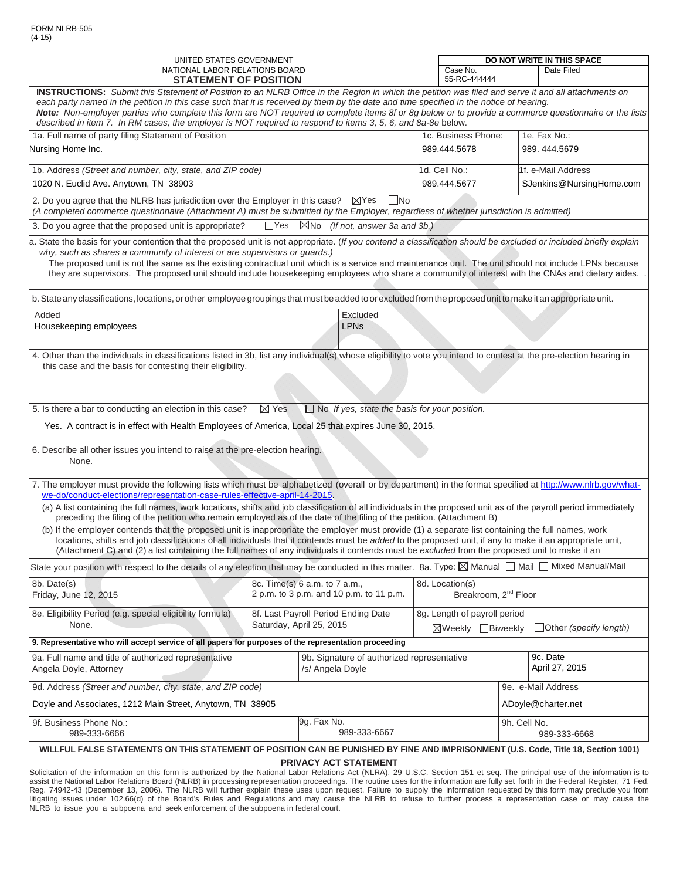| UNITED STATES GOVERNMENT<br>NATIONAL LABOR RELATIONS BOARD                                                                                                                                                                                                                                                                                                                                                                                                                                                                                                                                                                                                                                                                   |                     | DO NOT WRITE IN THIS SPACE<br>Case No.<br>Date Filed                                                                            |                               |                    |                          |                            |  |
|------------------------------------------------------------------------------------------------------------------------------------------------------------------------------------------------------------------------------------------------------------------------------------------------------------------------------------------------------------------------------------------------------------------------------------------------------------------------------------------------------------------------------------------------------------------------------------------------------------------------------------------------------------------------------------------------------------------------------|---------------------|---------------------------------------------------------------------------------------------------------------------------------|-------------------------------|--------------------|--------------------------|----------------------------|--|
| <b>STATEMENT OF POSITION</b>                                                                                                                                                                                                                                                                                                                                                                                                                                                                                                                                                                                                                                                                                                 |                     |                                                                                                                                 | 55-RC-444444                  |                    |                          |                            |  |
| INSTRUCTIONS: Submit this Statement of Position to an NLRB Office in the Region in which the petition was filed and serve it and all attachments on<br>each party named in the petition in this case such that it is received by them by the date and time specified in the notice of hearing.<br>Note: Non-employer parties who complete this form are NOT required to complete items 8f or 8g below or to provide a commerce questionnaire or the lists<br>described in item 7. In RM cases, the employer is NOT required to respond to items 3, 5, 6, and 8a-8e below.                                                                                                                                                    |                     |                                                                                                                                 |                               |                    |                          |                            |  |
| 1a. Full name of party filing Statement of Position                                                                                                                                                                                                                                                                                                                                                                                                                                                                                                                                                                                                                                                                          | 1c. Business Phone: |                                                                                                                                 |                               |                    | 1e. Fax No.:             |                            |  |
| Nursing Home Inc.                                                                                                                                                                                                                                                                                                                                                                                                                                                                                                                                                                                                                                                                                                            |                     |                                                                                                                                 | 989.444.5678                  |                    | 989.444.5679             |                            |  |
| 1b. Address (Street and number, city, state, and ZIP code)                                                                                                                                                                                                                                                                                                                                                                                                                                                                                                                                                                                                                                                                   |                     |                                                                                                                                 | 1d. Cell No.:                 |                    | 1f. e-Mail Address       |                            |  |
| 1020 N. Euclid Ave. Anytown, TN 38903                                                                                                                                                                                                                                                                                                                                                                                                                                                                                                                                                                                                                                                                                        |                     |                                                                                                                                 | 989.444.5677                  |                    | SJenkins@NursingHome.com |                            |  |
| 2. Do you agree that the NLRB has jurisdiction over the Employer in this case?<br>(A completed commerce questionnaire (Attachment A) must be submitted by the Employer, regardless of whether jurisdiction is admitted)                                                                                                                                                                                                                                                                                                                                                                                                                                                                                                      |                     | $\boxtimes$ Yes<br>$\Box$ No                                                                                                    |                               |                    |                          |                            |  |
| 3. Do you agree that the proposed unit is appropriate?                                                                                                                                                                                                                                                                                                                                                                                                                                                                                                                                                                                                                                                                       |                     | $\Box$ Yes $\Box$ No (If not, answer 3a and 3b.)                                                                                |                               |                    |                          |                            |  |
| a. State the basis for your contention that the proposed unit is not appropriate. (If you contend a classification should be excluded or included briefly explain<br>why, such as shares a community of interest or are supervisors or guards.)<br>The proposed unit is not the same as the existing contractual unit which is a service and maintenance unit. The unit should not include LPNs because<br>they are supervisors. The proposed unit should include housekeeping employees who share a community of interest with the CNAs and dietary aides.<br>b. State any classifications, locations, or other employee groupings that must be added to or excluded from the proposed unit to make it an appropriate unit. |                     |                                                                                                                                 |                               |                    |                          |                            |  |
|                                                                                                                                                                                                                                                                                                                                                                                                                                                                                                                                                                                                                                                                                                                              |                     |                                                                                                                                 |                               |                    |                          |                            |  |
| Added<br>Housekeeping employees                                                                                                                                                                                                                                                                                                                                                                                                                                                                                                                                                                                                                                                                                              |                     | Excluded<br><b>LPNs</b>                                                                                                         |                               |                    |                          |                            |  |
|                                                                                                                                                                                                                                                                                                                                                                                                                                                                                                                                                                                                                                                                                                                              |                     |                                                                                                                                 |                               |                    |                          |                            |  |
| 5. Is there a bar to conducting an election in this case?<br>Yes. A contract is in effect with Health Employees of America, Local 25 that expires June 30, 2015.                                                                                                                                                                                                                                                                                                                                                                                                                                                                                                                                                             | $\boxtimes$ Yes     | $\Box$ No If yes, state the basis for your position.                                                                            |                               |                    |                          |                            |  |
| 6. Describe all other issues you intend to raise at the pre-election hearing.<br>None.                                                                                                                                                                                                                                                                                                                                                                                                                                                                                                                                                                                                                                       |                     |                                                                                                                                 |                               |                    |                          |                            |  |
| 7. The employer must provide the following lists which must be alphabetized (overall or by department) in the format specified at http://www.nlrb.gov/what-<br>we-do/conduct-elections/representation-case-rules-effective-april-14-2015.                                                                                                                                                                                                                                                                                                                                                                                                                                                                                    |                     |                                                                                                                                 |                               |                    |                          |                            |  |
| (a) A list containing the full names, work locations, shifts and job classification of all individuals in the proposed unit as of the payroll period immediately<br>preceding the filing of the petition who remain employed as of the date of the filing of the petition. (Attachment B)                                                                                                                                                                                                                                                                                                                                                                                                                                    |                     |                                                                                                                                 |                               |                    |                          |                            |  |
| (b) If the employer contends that the proposed unit is inappropriate the employer must provide (1) a separate list containing the full names, work<br>locations, shifts and job classifications of all individuals that it contends must be added to the proposed unit, if any to make it an appropriate unit,<br>(Attachment C) and (2) a list containing the full names of any individuals it contends must be excluded from the proposed unit to make it an                                                                                                                                                                                                                                                               |                     |                                                                                                                                 |                               |                    |                          |                            |  |
| State your position with respect to the details of any election that may be conducted in this matter. 8a. Type: $\boxtimes$ Manual $\Box$ Mail $\Box$ Mixed Manual/Mail                                                                                                                                                                                                                                                                                                                                                                                                                                                                                                                                                      |                     |                                                                                                                                 |                               |                    |                          |                            |  |
| 8b. Date(s)<br>Friday, June 12, 2015                                                                                                                                                                                                                                                                                                                                                                                                                                                                                                                                                                                                                                                                                         |                     | 8d. Location(s)<br>8c. Time(s) 6 a.m. to 7 a.m.,<br>2 p.m. to 3 p.m. and 10 p.m. to 11 p.m.<br>Breakroom, 2 <sup>nd</sup> Floor |                               |                    |                          |                            |  |
| 8e. Eligibility Period (e.g. special eligibility formula)                                                                                                                                                                                                                                                                                                                                                                                                                                                                                                                                                                                                                                                                    |                     | 8f. Last Payroll Period Ending Date                                                                                             | 8g. Length of payroll period  |                    |                          |                            |  |
| None.<br>Saturday, April 25, 2015<br>⊠Weekly <b>□Biweekly</b>                                                                                                                                                                                                                                                                                                                                                                                                                                                                                                                                                                                                                                                                |                     |                                                                                                                                 | $\Box$ Other (specify length) |                    |                          |                            |  |
| 9. Representative who will accept service of all papers for purposes of the representation proceeding                                                                                                                                                                                                                                                                                                                                                                                                                                                                                                                                                                                                                        |                     |                                                                                                                                 |                               |                    |                          |                            |  |
| 9a. Full name and title of authorized representative<br>Angela Doyle, Attorney                                                                                                                                                                                                                                                                                                                                                                                                                                                                                                                                                                                                                                               |                     | 9b. Signature of authorized representative<br>/s/ Angela Doyle                                                                  |                               |                    |                          | 9c. Date<br>April 27, 2015 |  |
| 9d. Address (Street and number, city, state, and ZIP code)                                                                                                                                                                                                                                                                                                                                                                                                                                                                                                                                                                                                                                                                   |                     |                                                                                                                                 |                               | 9e. e-Mail Address |                          |                            |  |
| Doyle and Associates, 1212 Main Street, Anytown, TN 38905                                                                                                                                                                                                                                                                                                                                                                                                                                                                                                                                                                                                                                                                    |                     |                                                                                                                                 |                               | ADoyle@charter.net |                          |                            |  |
| 9g. Fax No.<br>9f. Business Phone No.:<br>9h. Cell No.<br>989-333-6667<br>989-333-6666                                                                                                                                                                                                                                                                                                                                                                                                                                                                                                                                                                                                                                       |                     | 989-333-6668                                                                                                                    |                               |                    |                          |                            |  |
| WILLFUL FALSE STATEMENTS ON THIS STATEMENT OF POSITION CAN BE PUNISHED BY FINE AND IMPRISONMENT (U.S. Code, Title 18, Section 1001)                                                                                                                                                                                                                                                                                                                                                                                                                                                                                                                                                                                          |                     |                                                                                                                                 |                               |                    |                          |                            |  |

**PRIVACY ACT STATEMENT**

Solicitation of the information on this form is authorized by the National Labor Relations Act (NLRA), 29 U.S.C. Section 151 et seq. The principal use of the information is to assist the National Labor Relations Board (NLRB) in processing representation proceedings. The routine uses for the information are fully set forth in the Federal Register, 71 Fed. Reg. 74942-43 (December 13, 2006). The NLRB will further explain these uses upon request. Failure to supply the information requested by this form may preclude you from litigating issues under 102.66(d) of the Board's Rules and Regulations and may cause the NLRB to refuse to further process a representation case or may cause the NLRB to issue you a subpoena and seek enforcement of the subpoena in federal court.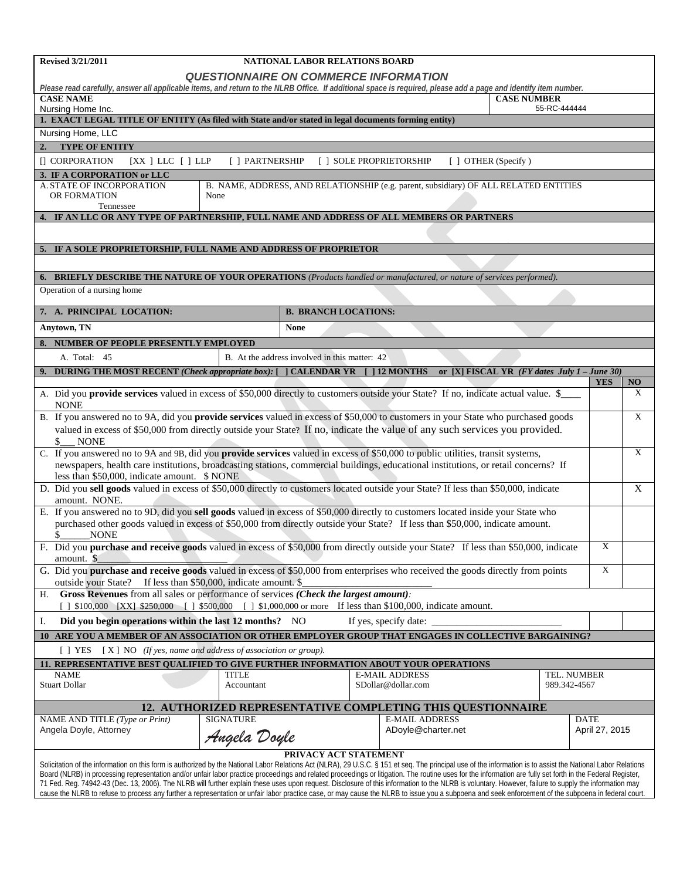| <b>Revised 3/21/2011</b>                                                                                                                                                                                                                                                                                                                                                                                                     |                  | NATIONAL LABOR RELATIONS BOARD                |                                                                                      |                                                  |                    |                |             |
|------------------------------------------------------------------------------------------------------------------------------------------------------------------------------------------------------------------------------------------------------------------------------------------------------------------------------------------------------------------------------------------------------------------------------|------------------|-----------------------------------------------|--------------------------------------------------------------------------------------|--------------------------------------------------|--------------------|----------------|-------------|
|                                                                                                                                                                                                                                                                                                                                                                                                                              |                  |                                               | <b>QUESTIONNAIRE ON COMMERCE INFORMATION</b>                                         |                                                  |                    |                |             |
| Please read carefully, answer all applicable items, and return to the NLRB Office. If additional space is required, please add a page and identify item number.<br><b>CASE NAME</b>                                                                                                                                                                                                                                          |                  |                                               |                                                                                      |                                                  | <b>CASE NUMBER</b> |                |             |
| Nursing Home Inc.                                                                                                                                                                                                                                                                                                                                                                                                            |                  |                                               |                                                                                      |                                                  | 55-RC-444444       |                |             |
| 1. EXACT LEGAL TITLE OF ENTITY (As filed with State and/or stated in legal documents forming entity)                                                                                                                                                                                                                                                                                                                         |                  |                                               |                                                                                      |                                                  |                    |                |             |
| Nursing Home, LLC                                                                                                                                                                                                                                                                                                                                                                                                            |                  |                                               |                                                                                      |                                                  |                    |                |             |
| <b>TYPE OF ENTITY</b><br>$\overline{2}$                                                                                                                                                                                                                                                                                                                                                                                      |                  |                                               |                                                                                      |                                                  |                    |                |             |
| [] CORPORATION<br>$[XX]$ LLC $[$ $]$ LLP                                                                                                                                                                                                                                                                                                                                                                                     | [ ] PARTNERSHIP  |                                               | [ ] SOLE PROPRIETORSHIP                                                              | [ ] OTHER (Specify)                              |                    |                |             |
| 3. IF A CORPORATION or LLC<br>A. STATE OF INCORPORATION                                                                                                                                                                                                                                                                                                                                                                      |                  |                                               | B. NAME, ADDRESS, AND RELATIONSHIP (e.g. parent, subsidiary) OF ALL RELATED ENTITIES |                                                  |                    |                |             |
| OR FORMATION                                                                                                                                                                                                                                                                                                                                                                                                                 | None             |                                               |                                                                                      |                                                  |                    |                |             |
| Tennessee<br>4. IF AN LLC OR ANY TYPE OF PARTNERSHIP, FULL NAME AND ADDRESS OF ALL MEMBERS OR PARTNERS                                                                                                                                                                                                                                                                                                                       |                  |                                               |                                                                                      |                                                  |                    |                |             |
|                                                                                                                                                                                                                                                                                                                                                                                                                              |                  |                                               |                                                                                      |                                                  |                    |                |             |
| 5. IF A SOLE PROPRIETORSHIP, FULL NAME AND ADDRESS OF PROPRIETOR                                                                                                                                                                                                                                                                                                                                                             |                  |                                               |                                                                                      |                                                  |                    |                |             |
|                                                                                                                                                                                                                                                                                                                                                                                                                              |                  |                                               |                                                                                      |                                                  |                    |                |             |
| 6. BRIEFLY DESCRIBE THE NATURE OF YOUR OPERATIONS (Products handled or manufactured, or nature of services performed).                                                                                                                                                                                                                                                                                                       |                  |                                               |                                                                                      |                                                  |                    |                |             |
| Operation of a nursing home                                                                                                                                                                                                                                                                                                                                                                                                  |                  |                                               |                                                                                      |                                                  |                    |                |             |
|                                                                                                                                                                                                                                                                                                                                                                                                                              |                  |                                               |                                                                                      |                                                  |                    |                |             |
| 7. A. PRINCIPAL LOCATION:                                                                                                                                                                                                                                                                                                                                                                                                    |                  | <b>B. BRANCH LOCATIONS:</b>                   |                                                                                      |                                                  |                    |                |             |
| Anytown, TN                                                                                                                                                                                                                                                                                                                                                                                                                  |                  | <b>None</b>                                   |                                                                                      |                                                  |                    |                |             |
| NUMBER OF PEOPLE PRESENTLY EMPLOYED                                                                                                                                                                                                                                                                                                                                                                                          |                  |                                               |                                                                                      |                                                  |                    |                |             |
| A. Total: 45                                                                                                                                                                                                                                                                                                                                                                                                                 |                  | B. At the address involved in this matter: 42 |                                                                                      |                                                  |                    |                |             |
| <b>DURING THE MOST RECENT (Check appropriate box): [ ] CALENDAR YR</b>                                                                                                                                                                                                                                                                                                                                                       |                  |                                               | $[$ ] 12 MONTHS                                                                      | or [X] FISCAL YR $(FY$ dates July $1$ – June 30) |                    | <b>YES</b>     | NO          |
| A. Did you provide services valued in excess of \$50,000 directly to customers outside your State? If no, indicate actual value. \$<br><b>NONE</b>                                                                                                                                                                                                                                                                           |                  |                                               |                                                                                      |                                                  |                    |                | X           |
| B. If you answered no to 9A, did you provide services valued in excess of \$50,000 to customers in your State who purchased goods                                                                                                                                                                                                                                                                                            |                  |                                               |                                                                                      |                                                  |                    |                | $\mathbf X$ |
| valued in excess of \$50,000 from directly outside your State? If no, indicate the value of any such services you provided.                                                                                                                                                                                                                                                                                                  |                  |                                               |                                                                                      |                                                  |                    |                |             |
| \$<br><b>NONE</b>                                                                                                                                                                                                                                                                                                                                                                                                            |                  |                                               |                                                                                      |                                                  |                    |                |             |
| C. If you answered no to 9A and 9B, did you provide services valued in excess of \$50,000 to public utilities, transit systems,<br>newspapers, health care institutions, broadcasting stations, commercial buildings, educational institutions, or retail concerns? If                                                                                                                                                       |                  |                                               |                                                                                      |                                                  |                    |                | X           |
| less than \$50,000, indicate amount. \$ NONE                                                                                                                                                                                                                                                                                                                                                                                 |                  |                                               |                                                                                      |                                                  |                    |                |             |
| D. Did you sell goods valued in excess of \$50,000 directly to customers located outside your State? If less than \$50,000, indicate<br>amount. NONE.                                                                                                                                                                                                                                                                        |                  |                                               |                                                                                      |                                                  |                    |                | $\mathbf X$ |
| E. If you answered no to 9D, did you sell goods valued in excess of \$50,000 directly to customers located inside your State who                                                                                                                                                                                                                                                                                             |                  |                                               |                                                                                      |                                                  |                    |                |             |
| purchased other goods valued in excess of \$50,000 from directly outside your State? If less than \$50,000, indicate amount.                                                                                                                                                                                                                                                                                                 |                  |                                               |                                                                                      |                                                  |                    |                |             |
| <b>NONE</b><br>F. Did you purchase and receive goods valued in excess of \$50,000 from directly outside your State? If less than \$50,000, indicate                                                                                                                                                                                                                                                                          |                  |                                               |                                                                                      |                                                  |                    | X              |             |
| amount. \$                                                                                                                                                                                                                                                                                                                                                                                                                   |                  |                                               |                                                                                      |                                                  |                    |                |             |
| G. Did you purchase and receive goods valued in excess of \$50,000 from enterprises who received the goods directly from points<br>outside your State? If less than \$50,000, indicate amount. \$                                                                                                                                                                                                                            |                  |                                               |                                                                                      |                                                  |                    | $\mathbf X$    |             |
| Gross Revenues from all sales or performance of services (Check the largest amount):<br>Н.                                                                                                                                                                                                                                                                                                                                   |                  |                                               |                                                                                      |                                                  |                    |                |             |
| [ ] \$100,000 [XX] \$250,000 [ ] \$500,000 [ ] \$1,000,000 or more If less than \$100,000, indicate amount.                                                                                                                                                                                                                                                                                                                  |                  |                                               |                                                                                      |                                                  |                    |                |             |
| Did you begin operations within the last 12 months? NO<br>Ι.                                                                                                                                                                                                                                                                                                                                                                 |                  |                                               | If yes, specify date: _                                                              |                                                  |                    |                |             |
| 10 ARE YOU A MEMBER OF AN ASSOCIATION OR OTHER EMPLOYER GROUP THAT ENGAGES IN COLLECTIVE BARGAINING?                                                                                                                                                                                                                                                                                                                         |                  |                                               |                                                                                      |                                                  |                    |                |             |
| $[X]$ NO (If yes, name and address of association or group).<br>$[$ T YES                                                                                                                                                                                                                                                                                                                                                    |                  |                                               |                                                                                      |                                                  |                    |                |             |
| 11. REPRESENTATIVE BEST QUALIFIED TO GIVE FURTHER INFORMATION ABOUT YOUR OPERATIONS<br><b>NAME</b>                                                                                                                                                                                                                                                                                                                           | <b>TITLE</b>     |                                               | <b>E-MAIL ADDRESS</b>                                                                |                                                  | TEL. NUMBER        |                |             |
| <b>Stuart Dollar</b>                                                                                                                                                                                                                                                                                                                                                                                                         | Accountant       |                                               | SDollar@dollar.com                                                                   |                                                  | 989.342-4567       |                |             |
|                                                                                                                                                                                                                                                                                                                                                                                                                              |                  |                                               | 12. AUTHORIZED REPRESENTATIVE COMPLETING THIS QUESTIONNAIRE                          |                                                  |                    |                |             |
| NAME AND TITLE (Type or Print)                                                                                                                                                                                                                                                                                                                                                                                               | <b>SIGNATURE</b> |                                               | <b>E-MAIL ADDRESS</b>                                                                |                                                  |                    | <b>DATE</b>    |             |
| Angela Doyle, Attorney                                                                                                                                                                                                                                                                                                                                                                                                       | Angela Doyle     |                                               | ADoyle@charter.net                                                                   |                                                  |                    | April 27, 2015 |             |
|                                                                                                                                                                                                                                                                                                                                                                                                                              |                  | PRIVACY ACT STATEMENT                         |                                                                                      |                                                  |                    |                |             |
| Solicitation of the information on this form is authorized by the National Labor Relations Act (NLRA), 29 U.S.C. § 151 et seq. The principal use of the information is to assist the National Labor Relations<br>Board (NLRB) in processing representation and/or unfair labor practice proceedings and related proceedings or litigation. The routine uses for the information are fully set forth in the Federal Register, |                  |                                               |                                                                                      |                                                  |                    |                |             |
| 71 Fed. Req. 74942-43 (Dec. 13, 2006). The NLRB will further explain these uses upon request. Disclosure of this information to the NLRB is voluntary. However, failure to supply the information may<br>cause the NLRB to refuse to process any further a representation or unfair labor practice case, or may cause the NLRB to issue you a subpoena and seek enforcement of the subpoena in federal court.                |                  |                                               |                                                                                      |                                                  |                    |                |             |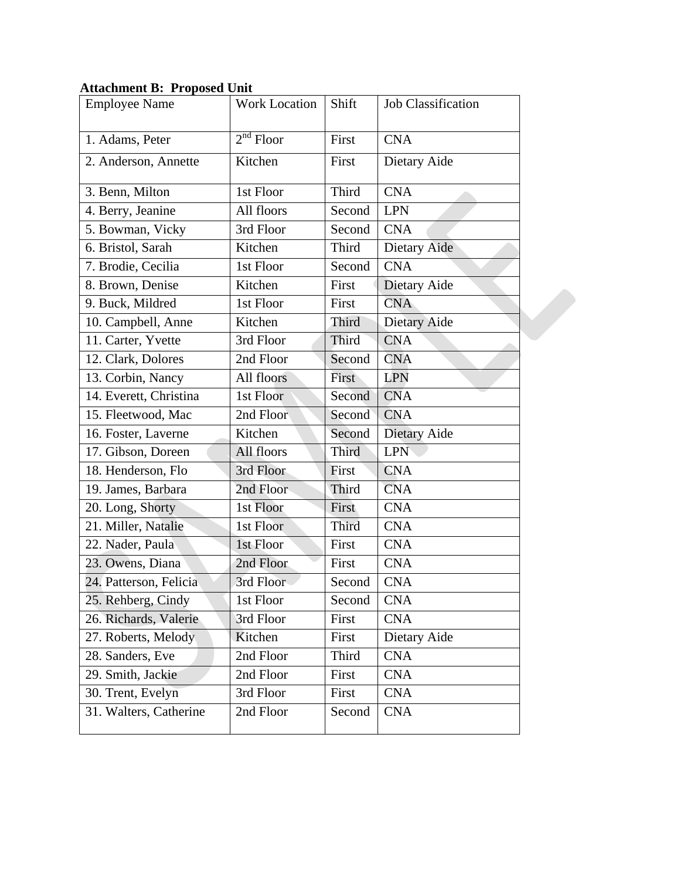## **Attachment B: Proposed Unit**

| <b>Employee Name</b>   | <b>Work Location</b> | Shift        | <b>Job Classification</b> |  |
|------------------------|----------------------|--------------|---------------------------|--|
| 1. Adams, Peter        | $2^{nd}$ Floor       | First        | <b>CNA</b>                |  |
| 2. Anderson, Annette   | Kitchen              | First        | Dietary Aide              |  |
| 3. Benn, Milton        | 1st Floor            | Third        | <b>CNA</b>                |  |
| 4. Berry, Jeanine      | All floors           | Second       | <b>LPN</b>                |  |
| 5. Bowman, Vicky       | 3rd Floor            | Second       | <b>CNA</b>                |  |
| 6. Bristol, Sarah      | Kitchen              | Third        | Dietary Aide              |  |
| 7. Brodie, Cecilia     | 1st Floor            | Second       | <b>CNA</b>                |  |
| 8. Brown, Denise       | Kitchen              | First        | Dietary Aide              |  |
| 9. Buck, Mildred       | 1st Floor            | First        | <b>CNA</b>                |  |
| 10. Campbell, Anne     | Kitchen              | Third        | Dietary Aide              |  |
| 11. Carter, Yvette     | 3rd Floor            | <b>Third</b> | <b>CNA</b>                |  |
| 12. Clark, Dolores     | 2nd Floor            | Second       | <b>CNA</b>                |  |
| 13. Corbin, Nancy      | All floors           | First        | <b>LPN</b>                |  |
| 14. Everett, Christina | 1st Floor            | Second       | <b>CNA</b>                |  |
| 15. Fleetwood, Mac     | 2nd Floor            | Second       | <b>CNA</b>                |  |
| 16. Foster, Laverne    | Kitchen              | Second       | Dietary Aide              |  |
| 17. Gibson, Doreen     | All floors           | <b>Third</b> | <b>LPN</b>                |  |
| 18. Henderson, Flo     | 3rd Floor            | First        | <b>CNA</b>                |  |
| 19. James, Barbara     | 2nd Floor            | Third        | <b>CNA</b>                |  |
| 20. Long, Shorty       | 1st Floor            | First        | <b>CNA</b>                |  |
| 21. Miller, Natalie    | 1st Floor            | <b>Third</b> | <b>CNA</b>                |  |
| 22. Nader, Paula       | 1st Floor            | First        | <b>CNA</b>                |  |
| 23. Owens, Diana       | 2nd Floor            | First        | <b>CNA</b>                |  |
| 24. Patterson, Felicia | 3rd Floor            | Second       | <b>CNA</b>                |  |
| 25. Rehberg, Cindy     | 1st Floor            | Second       | <b>CNA</b>                |  |
| 26. Richards, Valerie  | 3rd Floor            | First        | <b>CNA</b>                |  |
| 27. Roberts, Melody    | Kitchen              | First        | Dietary Aide              |  |
| 28. Sanders, Eve       | 2nd Floor            | Third        | <b>CNA</b>                |  |
| 29. Smith, Jackie      | 2nd Floor            | First        | <b>CNA</b>                |  |
| 30. Trent, Evelyn      | 3rd Floor            | First        | <b>CNA</b>                |  |
| 31. Walters, Catherine | 2nd Floor            | Second       | <b>CNA</b>                |  |